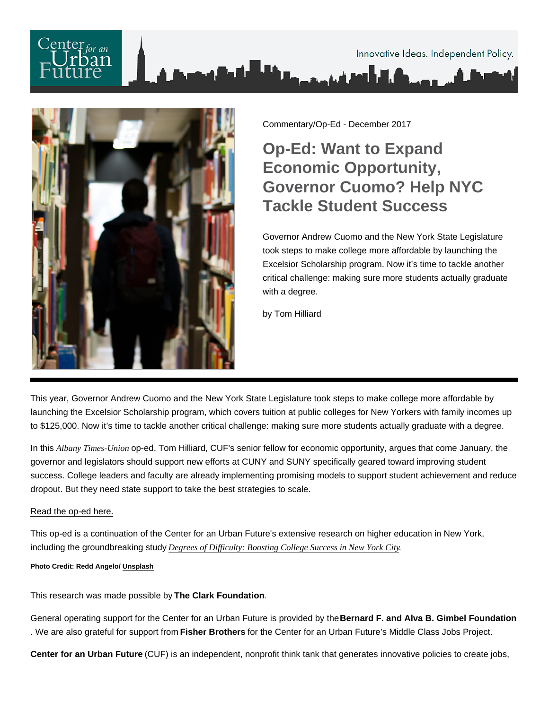

Commentary/Op-Ed - December 2017

## Op-Ed: Want to Expand Economic Opportunity, Governor Cuomo? Help NYC Tackle Student Success

Governor Andrew Cuomo and the New York State Legislature took steps to make college more affordable by launching the Excelsior Scholarship program. Now it's time to tackle another critical challenge: making sure more students actually graduate with a degree.

by Tom Hilliard

This year, Governor Andrew Cuomo and the New York State Legislature took steps to make college more affordable by launching the Excelsior Scholarship program, which covers tuition at public colleges for New Yorkers with family incomes up to \$125,000. Now it's time to tackle another critical challenge: making sure more students actually graduate with a degree.

In this Albany Times-Union p-ed, Tom Hilliard, CUF's senior fellow for economic opportunity, argues that come January, the governor and legislators should support new efforts at CUNY and SUNY specifically geared toward improving student success. College leaders and faculty are already implementing promising models to support student achievement and reduce dropout. But they need state support to take the best strategies to scale.

## [Read the op-ed here.](http://www.timesunion.com/opinion/article/New-York-students-need-more-than-free-tuition-12410772.php)

This op-ed is a continuation of the Center for an Urban Future's extensive research on higher education in New York, including the groundbreaking study [Degrees of Difficulty: Boosting College Success in New Yor](https://nycfuture.org/research/degrees-of-difficulty)k City .

Photo Credit: Redd Angelo/ [Unsplash](https://unsplash.com/photos/9o8YdYGTT64)

This research was made possible by The Clark Foundation .

General operating support for the Center for an Urban Future is provided by the Bernard F. and Alva B. Gimbel Foundation . We are also grateful for support from Fisher Brothers for the Center for an Urban Future's Middle Class Jobs Project.

Center for an Urban Future (CUF) is an independent, nonprofit think tank that generates innovative policies to create jobs,